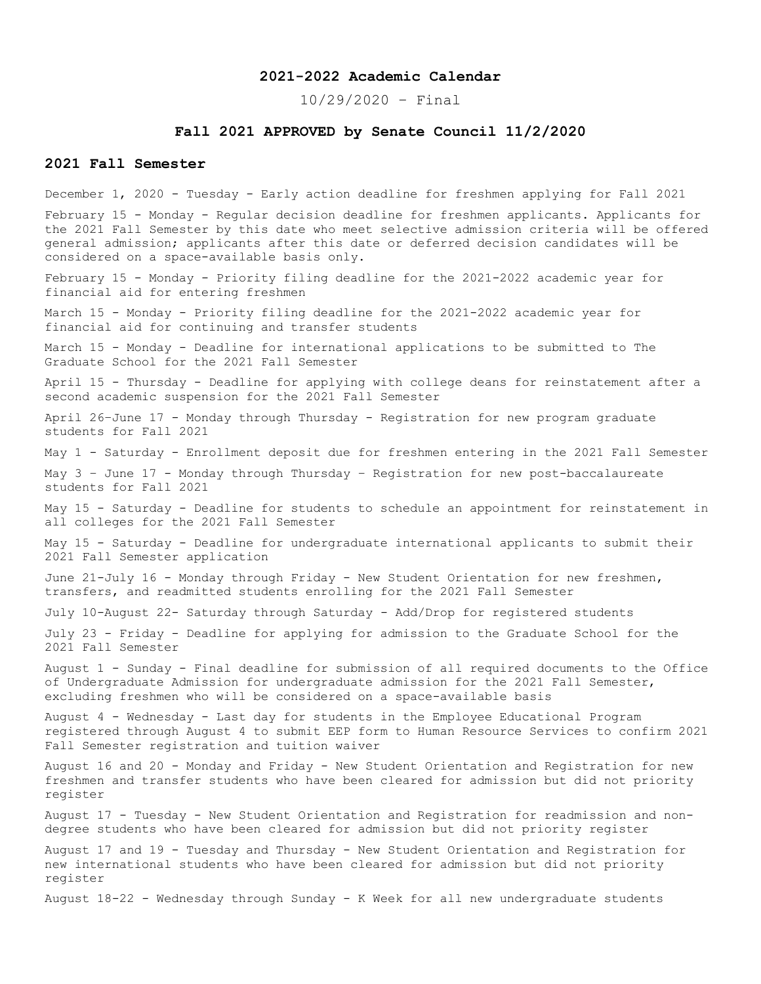# **2021-2022 Academic Calendar**

10/29/2020 – Final

## **Fall 2021 APPROVED by Senate Council 11/2/2020**

# **2021 Fall Semester**

December 1, 2020 - Tuesday - Early action deadline for freshmen applying for Fall 2021 February 15 - Monday - Regular decision deadline for freshmen applicants. Applicants for the 2021 Fall Semester by this date who meet selective admission criteria will be offered general admission; applicants after this date or deferred decision candidates will be considered on a space-available basis only. February 15 - Monday - Priority filing deadline for the 2021-2022 academic year for financial aid for entering freshmen March 15 - Monday - Priority filing deadline for the 2021-2022 academic year for financial aid for continuing and transfer students March 15 - Monday - Deadline for international applications to be submitted to The Graduate School for the 2021 Fall Semester April 15 - Thursday - Deadline for applying with college deans for reinstatement after a second academic suspension for the 2021 Fall Semester April 26–June 17 - Monday through Thursday - Registration for new program graduate students for Fall 2021 May 1 - Saturday - Enrollment deposit due for freshmen entering in the 2021 Fall Semester May 3 – June 17 - Monday through Thursday – Registration for new post-baccalaureate students for Fall 2021 May 15 - Saturday - Deadline for students to schedule an appointment for reinstatement in all colleges for the 2021 Fall Semester May 15 - Saturday - Deadline for undergraduate international applicants to submit their 2021 Fall Semester application June 21-July 16 - Monday through Friday - New Student Orientation for new freshmen, transfers, and readmitted students enrolling for the 2021 Fall Semester July 10-August 22- Saturday through Saturday - Add/Drop for registered students July 23 - Friday - Deadline for applying for admission to the Graduate School for the 2021 Fall Semester August 1 - Sunday - Final deadline for submission of all required documents to the Office of Undergraduate Admission for undergraduate admission for the 2021 Fall Semester, excluding freshmen who will be considered on a space-available basis August 4 - Wednesday - Last day for students in the Employee Educational Program registered through August 4 to submit EEP form to Human Resource Services to confirm 2021 Fall Semester registration and tuition waiver August 16 and 20 - Monday and Friday - New Student Orientation and Registration for new freshmen and transfer students who have been cleared for admission but did not priority register August 17 - Tuesday - New Student Orientation and Registration for readmission and nondegree students who have been cleared for admission but did not priority register August 17 and 19 - Tuesday and Thursday - New Student Orientation and Registration for new international students who have been cleared for admission but did not priority register August 18-22 - Wednesday through Sunday - K Week for all new undergraduate students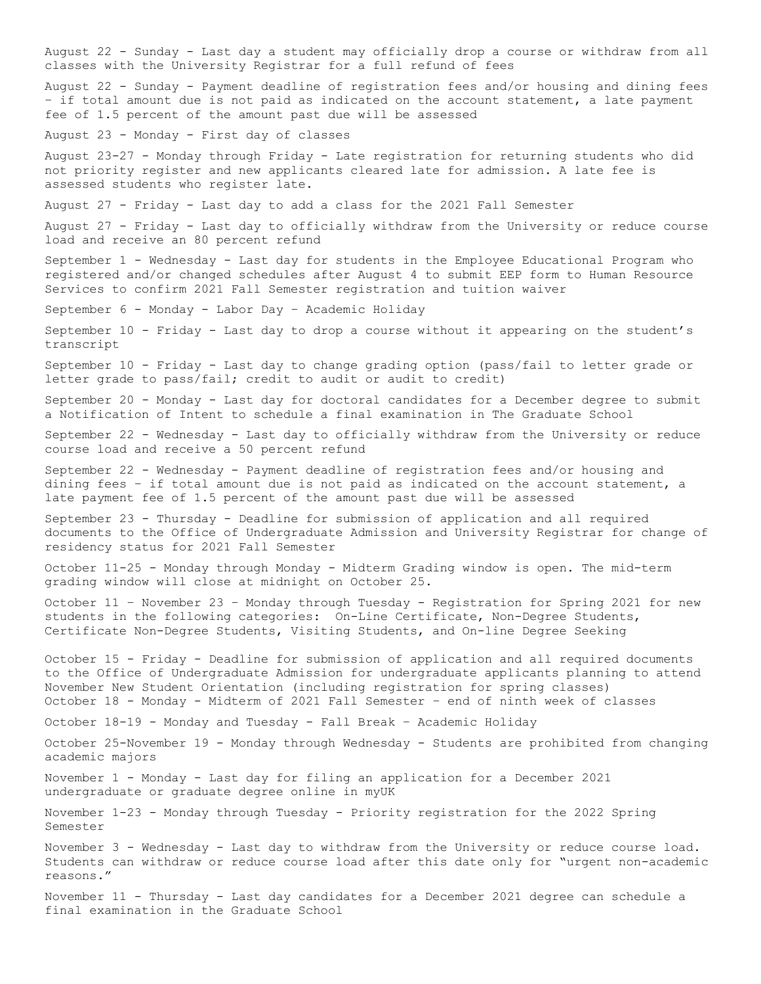August 22 - Sunday - Last day a student may officially drop a course or withdraw from all classes with the University Registrar for a full refund of fees August 22 - Sunday - Payment deadline of registration fees and/or housing and dining fees – if total amount due is not paid as indicated on the account statement, a late payment fee of 1.5 percent of the amount past due will be assessed August 23 - Monday - First day of classes August 23-27 - Monday through Friday - Late registration for returning students who did not priority register and new applicants cleared late for admission. A late fee is assessed students who register late. August 27 - Friday - Last day to add a class for the 2021 Fall Semester August 27 - Friday - Last day to officially withdraw from the University or reduce course load and receive an 80 percent refund September 1 - Wednesday - Last day for students in the Employee Educational Program who registered and/or changed schedules after August 4 to submit EEP form to Human Resource Services to confirm 2021 Fall Semester registration and tuition waiver September 6 - Monday - Labor Day – Academic Holiday September 10 - Friday - Last day to drop a course without it appearing on the student's transcript September 10 - Friday - Last day to change grading option (pass/fail to letter grade or letter grade to pass/fail; credit to audit or audit to credit) September 20 - Monday - Last day for doctoral candidates for a December degree to submit a Notification of Intent to schedule a final examination in The Graduate School September 22 - Wednesday - Last day to officially withdraw from the University or reduce course load and receive a 50 percent refund September 22 - Wednesday - Payment deadline of registration fees and/or housing and dining fees – if total amount due is not paid as indicated on the account statement, a late payment fee of 1.5 percent of the amount past due will be assessed September 23 - Thursday - Deadline for submission of application and all required documents to the Office of Undergraduate Admission and University Registrar for change of residency status for 2021 Fall Semester October 11-25 - Monday through Monday - Midterm Grading window is open. The mid-term grading window will close at midnight on October 25. October 11 – November 23 – Monday through Tuesday - Registration for Spring 2021 for new students in the following categories: On-Line Certificate, Non-Degree Students, Certificate Non-Degree Students, Visiting Students, and On-line Degree Seeking October 15 - Friday - Deadline for submission of application and all required documents to the Office of Undergraduate Admission for undergraduate applicants planning to attend November New Student Orientation (including registration for spring classes) October 18 - Monday - Midterm of 2021 Fall Semester – end of ninth week of classes October 18-19 - Monday and Tuesday - Fall Break – Academic Holiday October 25-November 19 - Monday through Wednesday - Students are prohibited from changing academic majors November 1 - Monday - Last day for filing an application for a December 2021 undergraduate or graduate degree online in myUK November 1-23 - Monday through Tuesday - Priority registration for the 2022 Spring Semester November 3 - Wednesday - Last day to withdraw from the University or reduce course load. Students can withdraw or reduce course load after this date only for "urgent non-academic reasons." November 11 - Thursday - Last day candidates for a December 2021 degree can schedule a final examination in the Graduate School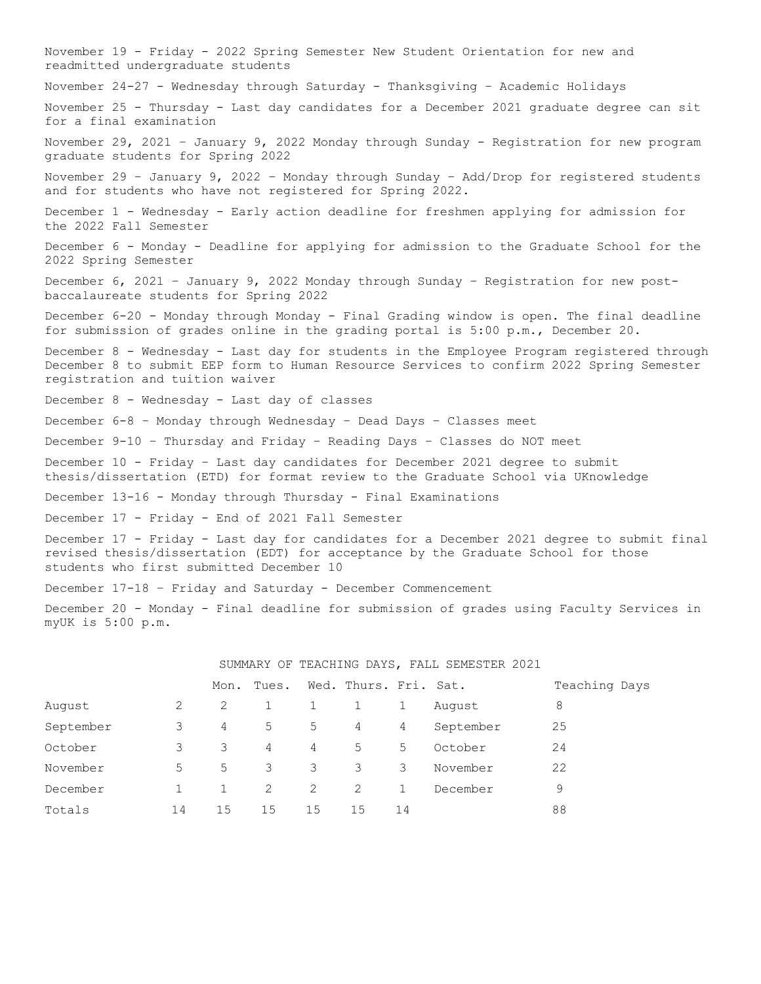November 19 - Friday - 2022 Spring Semester New Student Orientation for new and readmitted undergraduate students November 24-27 - Wednesday through Saturday - Thanksgiving – Academic Holidays November 25 - Thursday - Last day candidates for a December 2021 graduate degree can sit for a final examination November 29, 2021 – January 9, 2022 Monday through Sunday - Registration for new program graduate students for Spring 2022 November 29 – January 9, 2022 – Monday through Sunday – Add/Drop for registered students and for students who have not registered for Spring 2022. December 1 - Wednesday - Early action deadline for freshmen applying for admission for the 2022 Fall Semester December 6 - Monday - Deadline for applying for admission to the Graduate School for the 2022 Spring Semester December 6, 2021 – January 9, 2022 Monday through Sunday – Registration for new postbaccalaureate students for Spring 2022 December 6-20 - Monday through Monday - Final Grading window is open. The final deadline for submission of grades online in the grading portal is 5:00 p.m., December 20. December 8 - Wednesday - Last day for students in the Employee Program registered through December 8 to submit EEP form to Human Resource Services to confirm 2022 Spring Semester registration and tuition waiver December 8 - Wednesday - Last day of classes December 6-8 – Monday through Wednesday – Dead Days – Classes meet December 9-10 – Thursday and Friday – Reading Days – Classes do NOT meet December 10 - Friday – Last day candidates for December 2021 degree to submit thesis/dissertation (ETD) for format review to the Graduate School via UKnowledge December 13-16 - Monday through Thursday - Final Examinations December 17 - Friday - End of 2021 Fall Semester December 17 - Friday - Last day for candidates for a December 2021 degree to submit final revised thesis/dissertation (EDT) for acceptance by the Graduate School for those students who first submitted December 10 December 17-18 – Friday and Saturday - December Commencement December 20 - Monday - Final deadline for submission of grades using Faculty Services in myUK is 5:00 p.m.

|           |    | COURTING OF THRONTING DISTUS THEIR CHINESITY COCT |       |    |                       |              |           |               |
|-----------|----|---------------------------------------------------|-------|----|-----------------------|--------------|-----------|---------------|
|           |    | Mon.                                              | Tues. |    | Wed. Thurs. Fri. Sat. |              |           | Teaching Days |
| August    | 2  | 2                                                 |       | 1  |                       | 1            | August    | 8             |
| September | 3  | 4                                                 | 5     | 5  | 4                     | 4            | September | 25            |
| October   | 3  | 3                                                 | 4     | 4  | 5                     | 5            | October   | 24            |
| November  | 5  | 5                                                 | 3     | 3  | 3                     | 3            | November  | 22            |
| December  |    |                                                   | 2     | 2  | 2                     | $\mathbf{1}$ | December  | 9             |
| Totals    | 14 | 15                                                | 15    | 15 | 15                    | 14           |           | 88            |

SUMMARY OF TEACHING DAYS, FALL SEMESTER 2021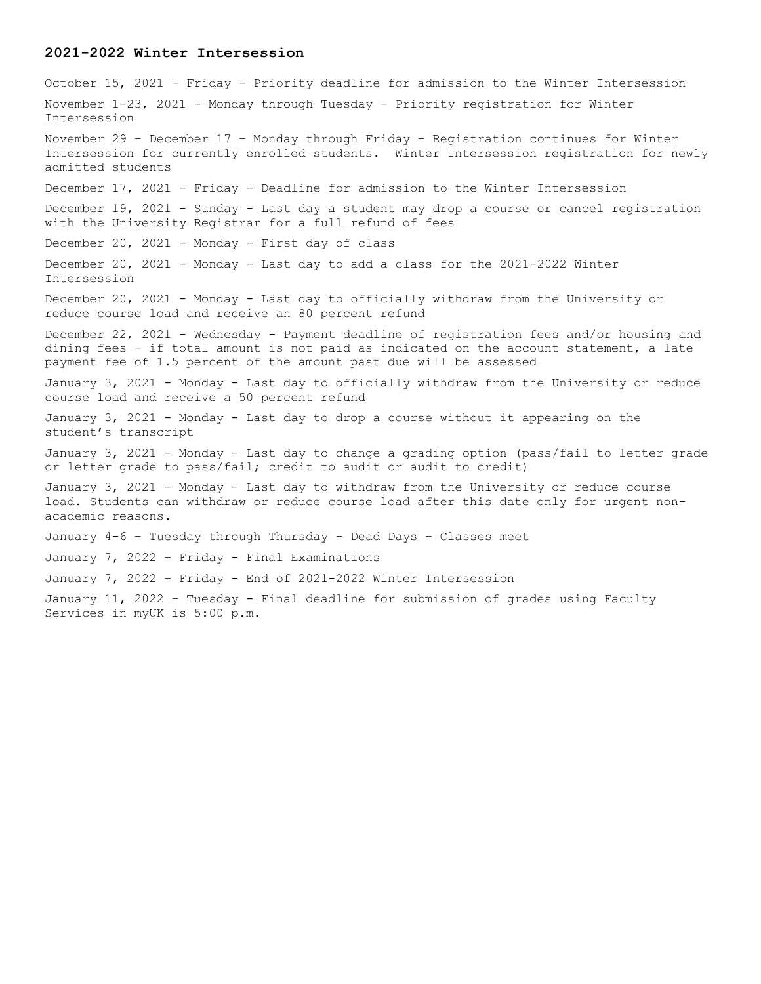### **2021-2022 Winter Intersession**

October 15, 2021 - Friday - Priority deadline for admission to the Winter Intersession November 1-23, 2021 - Monday through Tuesday - Priority registration for Winter Intersession November 29 – December 17 – Monday through Friday – Registration continues for Winter Intersession for currently enrolled students. Winter Intersession registration for newly admitted students December 17, 2021 - Friday - Deadline for admission to the Winter Intersession December 19, 2021 - Sunday - Last day a student may drop a course or cancel registration with the University Registrar for a full refund of fees December 20, 2021 - Monday - First day of class December 20, 2021 - Monday - Last day to add a class for the 2021-2022 Winter Intersession December 20, 2021 - Monday - Last day to officially withdraw from the University or reduce course load and receive an 80 percent refund December 22, 2021 - Wednesday - Payment deadline of registration fees and/or housing and dining fees - if total amount is not paid as indicated on the account statement, a late payment fee of 1.5 percent of the amount past due will be assessed January 3, 2021 - Monday - Last day to officially withdraw from the University or reduce course load and receive a 50 percent refund January 3, 2021 - Monday - Last day to drop a course without it appearing on the student's transcript January 3, 2021 - Monday - Last day to change a grading option (pass/fail to letter grade or letter grade to pass/fail; credit to audit or audit to credit) January 3, 2021 - Monday - Last day to withdraw from the University or reduce course load. Students can withdraw or reduce course load after this date only for urgent nonacademic reasons. January 4-6 – Tuesday through Thursday – Dead Days – Classes meet January 7, 2022 – Friday - Final Examinations January 7, 2022 – Friday - End of 2021-2022 Winter Intersession January 11, 2022 – Tuesday - Final deadline for submission of grades using Faculty Services in myUK is 5:00 p.m.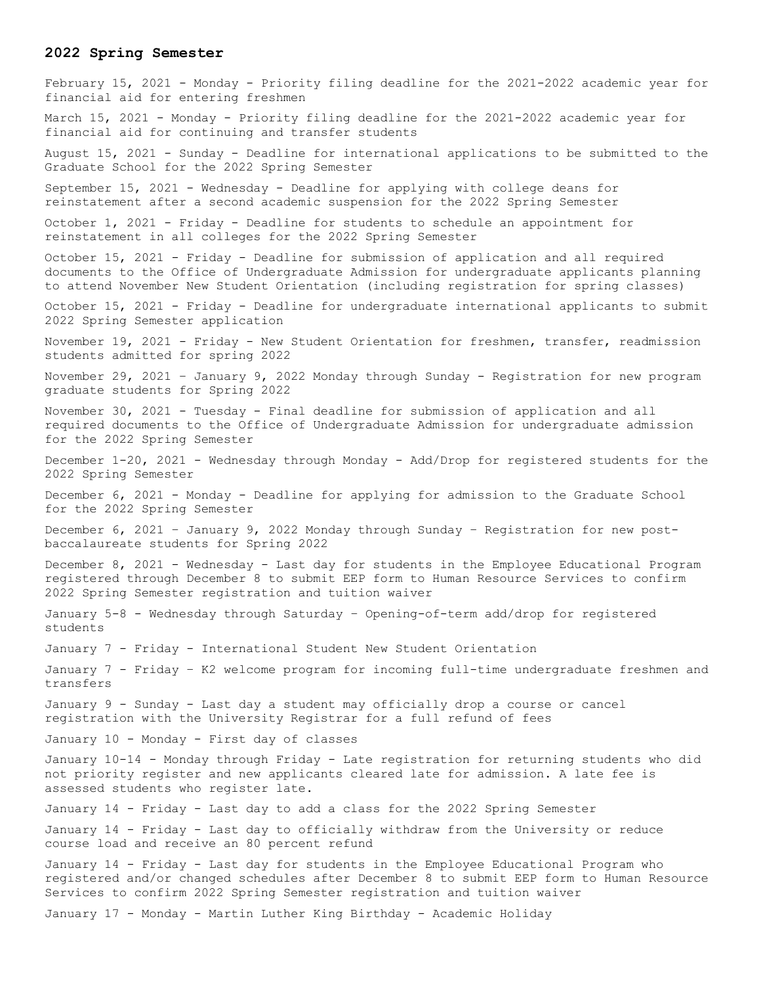### **2022 Spring Semester**

February 15, 2021 - Monday - Priority filing deadline for the 2021-2022 academic year for financial aid for entering freshmen March 15, 2021 - Monday - Priority filing deadline for the 2021-2022 academic year for financial aid for continuing and transfer students August 15, 2021 - Sunday - Deadline for international applications to be submitted to the Graduate School for the 2022 Spring Semester September 15, 2021 - Wednesday - Deadline for applying with college deans for reinstatement after a second academic suspension for the 2022 Spring Semester October 1, 2021 - Friday - Deadline for students to schedule an appointment for reinstatement in all colleges for the 2022 Spring Semester October 15, 2021 - Friday - Deadline for submission of application and all required documents to the Office of Undergraduate Admission for undergraduate applicants planning to attend November New Student Orientation (including registration for spring classes) October 15, 2021 - Friday - Deadline for undergraduate international applicants to submit 2022 Spring Semester application November 19, 2021 - Friday - New Student Orientation for freshmen, transfer, readmission students admitted for spring 2022 November 29, 2021 – January 9, 2022 Monday through Sunday - Registration for new program graduate students for Spring 2022 November 30, 2021 - Tuesday - Final deadline for submission of application and all required documents to the Office of Undergraduate Admission for undergraduate admission for the 2022 Spring Semester December 1-20, 2021 - Wednesday through Monday - Add/Drop for registered students for the 2022 Spring Semester December 6, 2021 - Monday - Deadline for applying for admission to the Graduate School for the 2022 Spring Semester December 6, 2021 – January 9, 2022 Monday through Sunday – Registration for new postbaccalaureate students for Spring 2022 December 8, 2021 - Wednesday - Last day for students in the Employee Educational Program registered through December 8 to submit EEP form to Human Resource Services to confirm 2022 Spring Semester registration and tuition waiver January 5-8 - Wednesday through Saturday – Opening-of-term add/drop for registered students January 7 - Friday - International Student New Student Orientation January 7 - Friday – K2 welcome program for incoming full-time undergraduate freshmen and transfers January 9 - Sunday - Last day a student may officially drop a course or cancel registration with the University Registrar for a full refund of fees January 10 - Monday - First day of classes January 10-14 - Monday through Friday - Late registration for returning students who did not priority register and new applicants cleared late for admission. A late fee is assessed students who register late. January 14 - Friday - Last day to add a class for the 2022 Spring Semester January 14 - Friday - Last day to officially withdraw from the University or reduce course load and receive an 80 percent refund January 14 - Friday - Last day for students in the Employee Educational Program who registered and/or changed schedules after December 8 to submit EEP form to Human Resource Services to confirm 2022 Spring Semester registration and tuition waiver January 17 - Monday - Martin Luther King Birthday - Academic Holiday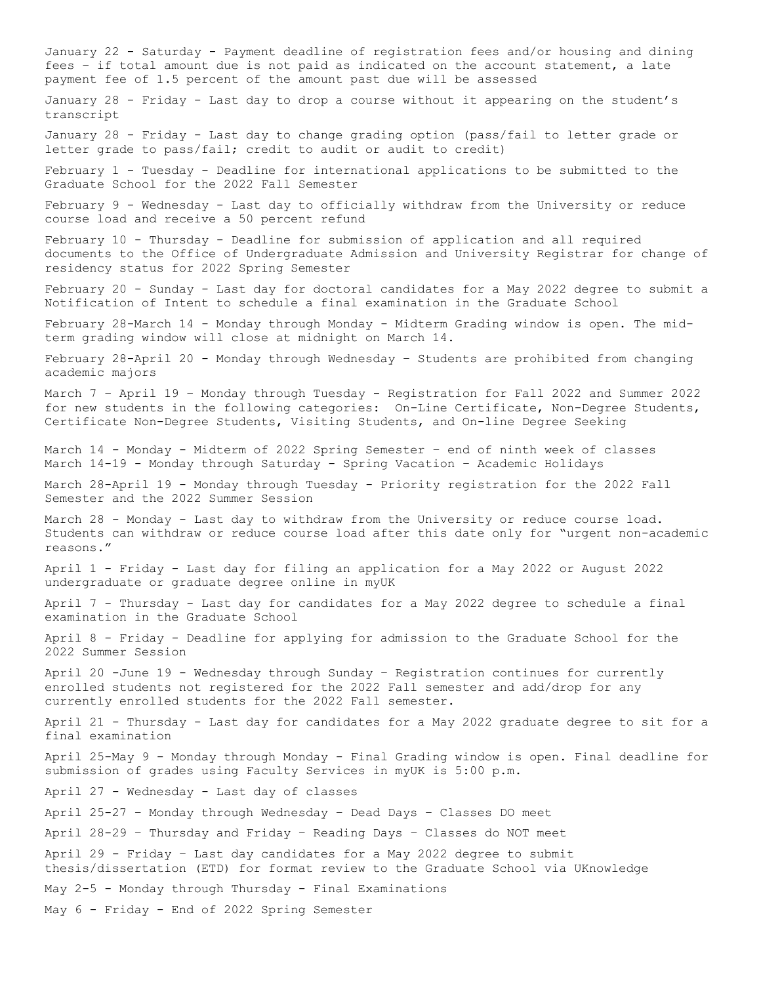January 22 - Saturday - Payment deadline of registration fees and/or housing and dining fees – if total amount due is not paid as indicated on the account statement, a late payment fee of 1.5 percent of the amount past due will be assessed January 28 - Friday - Last day to drop a course without it appearing on the student's transcript January 28 - Friday - Last day to change grading option (pass/fail to letter grade or letter grade to pass/fail; credit to audit or audit to credit) February 1 - Tuesday - Deadline for international applications to be submitted to the Graduate School for the 2022 Fall Semester February 9 - Wednesday - Last day to officially withdraw from the University or reduce course load and receive a 50 percent refund February 10 - Thursday - Deadline for submission of application and all required documents to the Office of Undergraduate Admission and University Registrar for change of residency status for 2022 Spring Semester February 20 - Sunday - Last day for doctoral candidates for a May 2022 degree to submit a Notification of Intent to schedule a final examination in the Graduate School February 28-March 14 - Monday through Monday - Midterm Grading window is open. The midterm grading window will close at midnight on March 14. February 28-April 20 - Monday through Wednesday – Students are prohibited from changing academic majors March 7 – April 19 – Monday through Tuesday - Registration for Fall 2022 and Summer 2022 for new students in the following categories: On-Line Certificate, Non-Degree Students, Certificate Non-Degree Students, Visiting Students, and On-line Degree Seeking March 14 - Monday - Midterm of 2022 Spring Semester – end of ninth week of classes March 14-19 - Monday through Saturday - Spring Vacation – Academic Holidays March 28-April 19 - Monday through Tuesday - Priority registration for the 2022 Fall Semester and the 2022 Summer Session March 28 - Monday - Last day to withdraw from the University or reduce course load. Students can withdraw or reduce course load after this date only for "urgent non-academic reasons." April 1 - Friday - Last day for filing an application for a May 2022 or August 2022 undergraduate or graduate degree online in myUK April 7 - Thursday - Last day for candidates for a May 2022 degree to schedule a final examination in the Graduate School April 8 - Friday - Deadline for applying for admission to the Graduate School for the 2022 Summer Session April 20 -June 19 - Wednesday through Sunday – Registration continues for currently enrolled students not registered for the 2022 Fall semester and add/drop for any currently enrolled students for the 2022 Fall semester. April 21 - Thursday - Last day for candidates for a May 2022 graduate degree to sit for a final examination April 25-May 9 - Monday through Monday - Final Grading window is open. Final deadline for submission of grades using Faculty Services in myUK is 5:00 p.m. April 27 - Wednesday - Last day of classes April 25-27 – Monday through Wednesday – Dead Days – Classes DO meet April 28-29 – Thursday and Friday – Reading Days – Classes do NOT meet April 29 - Friday – Last day candidates for a May 2022 degree to submit thesis/dissertation (ETD) for format review to the Graduate School via UKnowledge May 2-5 - Monday through Thursday - Final Examinations May 6 - Friday - End of 2022 Spring Semester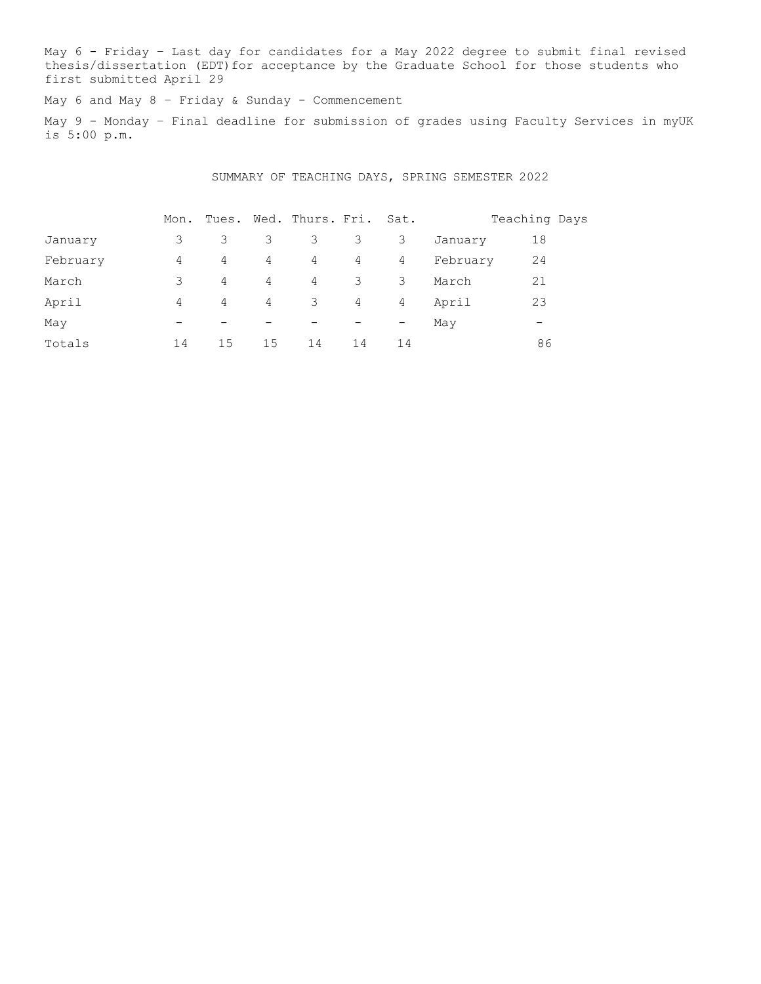May 6 - Friday – Last day for candidates for a May 2022 degree to submit final revised thesis/dissertation (EDT) for acceptance by the Graduate School for those students who first submitted April 29

May 6 and May 8 - Friday & Sunday - Commencement

May 9 - Monday – Final deadline for submission of grades using Faculty Services in myUK is 5:00 p.m.

SUMMARY OF TEACHING DAYS, SPRING SEMESTER 2022

|          | Mon.                     |                          |    | Tues. Wed. Thurs. Fri. |    | Sat.              |          | Teaching Days |
|----------|--------------------------|--------------------------|----|------------------------|----|-------------------|----------|---------------|
| January  | 3                        | 3                        | 3  | 3                      | 3  | 3                 | January  | 18            |
| February | 4                        | 4                        | 4  | $4\degree$             | 4  | 4                 | February | 24            |
| March    | 3                        | 4                        | 4  | 4                      | 3  | 3                 | March    | 21            |
| April    | 4                        | 4                        | 4  | 3                      | 4  | 4                 | April    | 23            |
| May      | $\overline{\phantom{m}}$ | $\overline{\phantom{m}}$ | -  |                        |    | $\qquad \qquad -$ | May      | -             |
| Totals   | 14                       | 15                       | 15 | 14                     | 14 | 14                |          | 86            |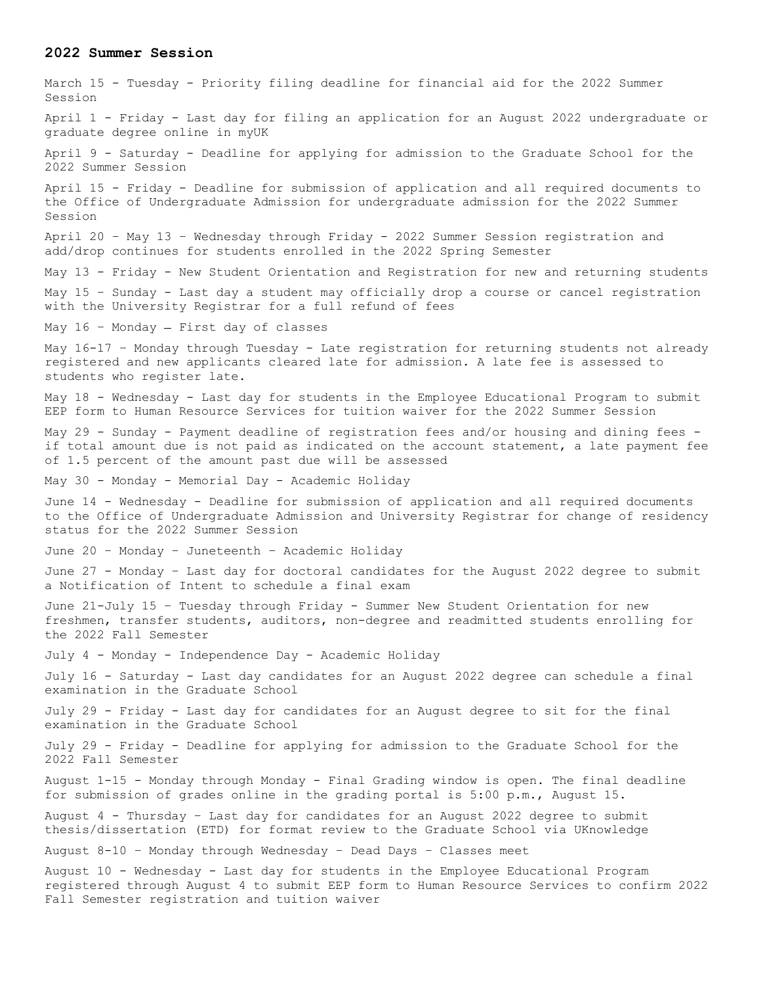#### **2022 Summer Session**

March 15 - Tuesday - Priority filing deadline for financial aid for the 2022 Summer Session April 1 - Friday - Last day for filing an application for an August 2022 undergraduate or graduate degree online in myUK April 9 - Saturday - Deadline for applying for admission to the Graduate School for the 2022 Summer Session April 15 - Friday - Deadline for submission of application and all required documents to the Office of Undergraduate Admission for undergraduate admission for the 2022 Summer Session April 20 – May 13 – Wednesday through Friday - 2022 Summer Session registration and add/drop continues for students enrolled in the 2022 Spring Semester May 13 - Friday - New Student Orientation and Registration for new and returning students May 15 – Sunday - Last day a student may officially drop a course or cancel registration with the University Registrar for a full refund of fees May  $16$  - Monday - First day of classes May 16-17 - Monday through Tuesday - Late registration for returning students not already registered and new applicants cleared late for admission. A late fee is assessed to students who register late. May 18 - Wednesday - Last day for students in the Employee Educational Program to submit EEP form to Human Resource Services for tuition waiver for the 2022 Summer Session May 29 - Sunday - Payment deadline of registration fees and/or housing and dining fees if total amount due is not paid as indicated on the account statement, a late payment fee of 1.5 percent of the amount past due will be assessed May 30 - Monday - Memorial Day - Academic Holiday June 14 - Wednesday - Deadline for submission of application and all required documents to the Office of Undergraduate Admission and University Registrar for change of residency status for the 2022 Summer Session June 20 – Monday – Juneteenth – Academic Holiday June 27 - Monday – Last day for doctoral candidates for the August 2022 degree to submit a Notification of Intent to schedule a final exam June 21-July 15 – Tuesday through Friday - Summer New Student Orientation for new freshmen, transfer students, auditors, non-degree and readmitted students enrolling for the 2022 Fall Semester July 4 - Monday - Independence Day - Academic Holiday July 16 - Saturday - Last day candidates for an August 2022 degree can schedule a final examination in the Graduate School July 29 - Friday - Last day for candidates for an August degree to sit for the final examination in the Graduate School July 29 - Friday - Deadline for applying for admission to the Graduate School for the 2022 Fall Semester August 1-15 - Monday through Monday - Final Grading window is open. The final deadline for submission of grades online in the grading portal is 5:00 p.m., August 15. August 4 - Thursday – Last day for candidates for an August 2022 degree to submit thesis/dissertation (ETD) for format review to the Graduate School via UKnowledge August 8-10 – Monday through Wednesday – Dead Days – Classes meet August 10 - Wednesday - Last day for students in the Employee Educational Program registered through August 4 to submit EEP form to Human Resource Services to confirm 2022 Fall Semester registration and tuition waiver